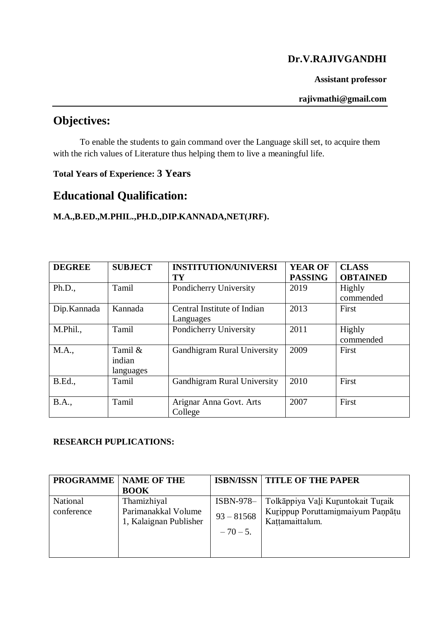## **Dr.V.RAJIVGANDHI**

#### **Assistant professor**

#### **rajivmathi@gmail.com**

# **Objectives:**

To enable the students to gain command over the Language skill set, to acquire them with the rich values of Literature thus helping them to live a meaningful life.

## **Total Years of Experience: 3 Years**

# **Educational Qualification:**

### **M.A.,B.ED.,M.PHIL.,PH.D.,DIP.KANNADA,NET(JRF).**

| <b>DEGREE</b>  | <b>SUBJECT</b>                 | <b>INSTITUTION/UNIVERSI</b><br>TY        | <b>YEAR OF</b><br><b>PASSING</b> | <b>CLASS</b><br><b>OBTAINED</b> |
|----------------|--------------------------------|------------------------------------------|----------------------------------|---------------------------------|
| Ph.D.,         | Tamil                          | Pondicherry University                   | 2019                             | <b>Highly</b><br>commended      |
| Dip.Kannada    | Kannada                        | Central Institute of Indian<br>Languages | 2013                             | First                           |
| M.Phil.,       | Tamil                          | Pondicherry University                   | 2011                             | Highly<br>commended             |
| M.A.,          | Tamil &<br>indian<br>languages | <b>Gandhigram Rural University</b>       | 2009                             | First                           |
| <b>B.Ed.</b> , | Tamil                          | <b>Gandhigram Rural University</b>       | 2010                             | First                           |
| <b>B.A.,</b>   | Tamil                          | Arignar Anna Govt. Arts<br>College       | 2007                             | First                           |

### **RESEARCH PUPLICATIONS:**

| <b>PROGRAMME</b> | <b>NAME OF THE</b>     | <b>ISBN/ISSN</b> | <b>TITLE OF THE PAPER</b>          |
|------------------|------------------------|------------------|------------------------------------|
|                  | <b>BOOK</b>            |                  |                                    |
| National         | Thamizhiyal            | ISBN-978-        | Tolkāppiya Vali Kuruntokait Turaik |
| conference       | Parimanakkal Volume    | $93 - 81568$     | Kurippup Poruttaminmaiyum Panpāțu  |
|                  | 1, Kalaignan Publisher |                  | Kattamaittalum.                    |
|                  |                        | $-70-5.$         |                                    |
|                  |                        |                  |                                    |
|                  |                        |                  |                                    |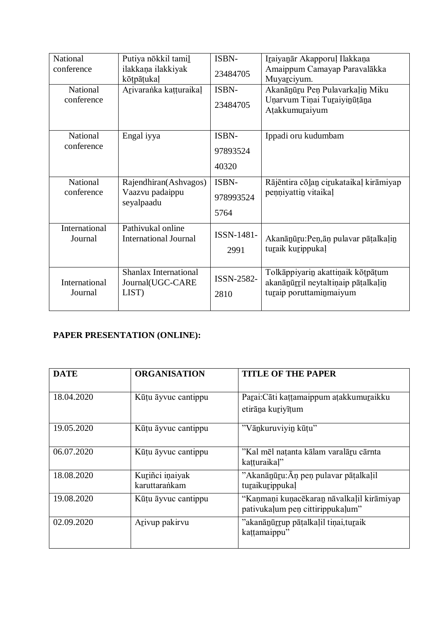| National                        | Putiya nōkkil tamil                               | ISBN-        | Iraiyanar Akapporul Ilakkana                  |
|---------------------------------|---------------------------------------------------|--------------|-----------------------------------------------|
| conference                      | ilakkana ilakkiyak<br>kōtpāṭukaļ                  | 23484705     | Amaippum Camayap Paravalākka<br>Muyarciyum.   |
| National                        | Arivaranka katturaikal                            | ISBN-        | Akanānūru Peņ Pulavarkaļin Miku               |
| conference                      |                                                   | 23484705     | Unarvum Tinai Turaiyinūțāna<br>Atakkumuraiyum |
| National                        | Engal iyya                                        | <b>ISBN-</b> | Ippadi oru kudumbam                           |
| conference                      |                                                   | 97893524     |                                               |
|                                 |                                                   | 40320        |                                               |
| National                        | Rajendhiran(Ashvagos)                             | ISBN-        | Rājēntira cōlan cirukataikaļ kirāmiyap        |
| conference                      | Vaazvu padaippu<br>seyalpaadu                     | 978993524    | penniyattin vitaikal                          |
|                                 |                                                   | 5764         |                                               |
| <b>International</b><br>Journal | Pathivukal online<br><b>International Journal</b> | ISSN-1481-   | Akanānūru: Peņāņ pulavar pāṭalkaļin           |
|                                 |                                                   | 2991         | turaik kurippukal                             |
|                                 | <b>Shanlax International</b>                      |              | Tolkāppiyarin akattiņaik kōtpāṭum             |
| International                   | Journal(UGC-CARE                                  | ISSN-2582-   | akanānūrril neytaltiņaip pātalkaļin           |
| Journal                         | LIST)                                             | 2810         | turaip poruttaminmaiyum                       |

## **PAPER PRESENTATION (ONLINE):**

| <b>DATE</b> | <b>ORGANISATION</b>              | <b>TITLE OF THE PAPER</b>                                                     |
|-------------|----------------------------------|-------------------------------------------------------------------------------|
| 18.04.2020  | Kūtu āyvuc cantippu              | Parai: Cāti kattamaippum atakkumuraikku<br>etirāņa kurivītum                  |
| 19.05.2020  | Kūtu āyvuc cantippu              | "Vānkuruviyin kūtu"                                                           |
| 06.07.2020  | Kūtu āyvuc cantippu              | "Kal mēl natanta kālam varalāru cārnta<br>katturaikal"                        |
| 18.08.2020  | Kuriñci inaiyak<br>karuttarankam | "Akanānūru: Āņ peņ pulavar pātalkaļil<br>turaikurippukal                      |
| 19.08.2020  | Kūtu āyvuc cantippu              | "Kanmani kunacēkaran nāvalkaļil kirāmiyap<br>pativukalum pen cittirippukalum" |
| 02.09.2020  | Arivup pakirvu                   | "akanānūrrup pāṭalkaļil tiņai, turaik<br>kattamaippu"                         |